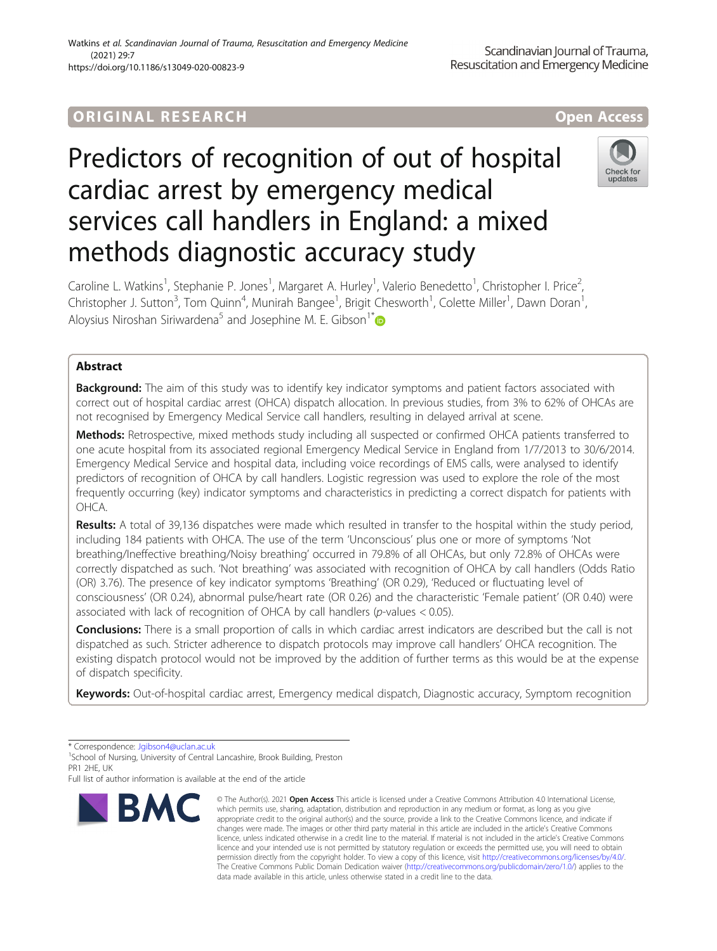## ORIGINA L R E S EA RCH Open Access

# Predictors of recognition of out of hospital cardiac arrest by emergency medical services call handlers in England: a mixed methods diagnostic accuracy study



Caroline L. Watkins<sup>1</sup>, Stephanie P. Jones<sup>1</sup>, Margaret A. Hurley<sup>1</sup>, Valerio Benedetto<sup>1</sup>, Christopher I. Price<sup>2</sup> , Christopher J. Sutton<sup>3</sup>, Tom Quinn<sup>4</sup>, Munirah Bangee<sup>1</sup>, Brigit Chesworth<sup>1</sup>, Colette Miller<sup>1</sup>, Dawn Doran<sup>1</sup> , Aloysius Niroshan Siriwardena<sup>5</sup> and Josephine M. E. Gibson<sup>1[\\*](http://orcid.org/0000-0002-3051-1237)</sup>

### Abstract

**Background:** The aim of this study was to identify key indicator symptoms and patient factors associated with correct out of hospital cardiac arrest (OHCA) dispatch allocation. In previous studies, from 3% to 62% of OHCAs are not recognised by Emergency Medical Service call handlers, resulting in delayed arrival at scene.

Methods: Retrospective, mixed methods study including all suspected or confirmed OHCA patients transferred to one acute hospital from its associated regional Emergency Medical Service in England from 1/7/2013 to 30/6/2014. Emergency Medical Service and hospital data, including voice recordings of EMS calls, were analysed to identify predictors of recognition of OHCA by call handlers. Logistic regression was used to explore the role of the most frequently occurring (key) indicator symptoms and characteristics in predicting a correct dispatch for patients with OHCA.

Results: A total of 39,136 dispatches were made which resulted in transfer to the hospital within the study period, including 184 patients with OHCA. The use of the term 'Unconscious' plus one or more of symptoms 'Not breathing/Ineffective breathing/Noisy breathing' occurred in 79.8% of all OHCAs, but only 72.8% of OHCAs were correctly dispatched as such. 'Not breathing' was associated with recognition of OHCA by call handlers (Odds Ratio (OR) 3.76). The presence of key indicator symptoms 'Breathing' (OR 0.29), 'Reduced or fluctuating level of consciousness' (OR 0.24), abnormal pulse/heart rate (OR 0.26) and the characteristic 'Female patient' (OR 0.40) were associated with lack of recognition of OHCA by call handlers ( $p$ -values < 0.05).

**Conclusions:** There is a small proportion of calls in which cardiac arrest indicators are described but the call is not dispatched as such. Stricter adherence to dispatch protocols may improve call handlers' OHCA recognition. The existing dispatch protocol would not be improved by the addition of further terms as this would be at the expense of dispatch specificity.

Keywords: Out-of-hospital cardiac arrest, Emergency medical dispatch, Diagnostic accuracy, Symptom recognition

\* Correspondence: [Jgibson4@uclan.ac.uk](mailto:Jgibson4@uclan.ac.uk) <sup>1</sup>

<sup>1</sup>School of Nursing, University of Central Lancashire, Brook Building, Preston PR1 2HF, UK

Full list of author information is available at the end of the article



<sup>©</sup> The Author(s), 2021 **Open Access** This article is licensed under a Creative Commons Attribution 4.0 International License, which permits use, sharing, adaptation, distribution and reproduction in any medium or format, as long as you give appropriate credit to the original author(s) and the source, provide a link to the Creative Commons licence, and indicate if changes were made. The images or other third party material in this article are included in the article's Creative Commons licence, unless indicated otherwise in a credit line to the material. If material is not included in the article's Creative Commons licence and your intended use is not permitted by statutory regulation or exceeds the permitted use, you will need to obtain permission directly from the copyright holder. To view a copy of this licence, visit [http://creativecommons.org/licenses/by/4.0/.](http://creativecommons.org/licenses/by/4.0/) The Creative Commons Public Domain Dedication waiver [\(http://creativecommons.org/publicdomain/zero/1.0/](http://creativecommons.org/publicdomain/zero/1.0/)) applies to the data made available in this article, unless otherwise stated in a credit line to the data.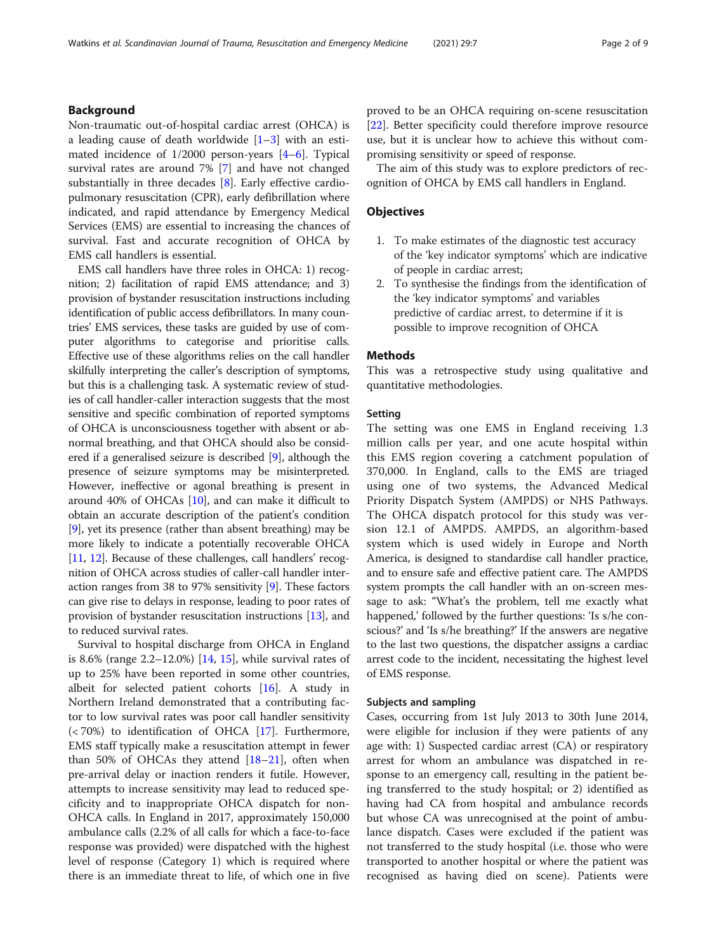#### Background

Non-traumatic out-of-hospital cardiac arrest (OHCA) is a leading cause of death worldwide  $[1-3]$  $[1-3]$  $[1-3]$  $[1-3]$  with an estimated incidence of 1/2000 person-years [[4](#page-7-0)–[6\]](#page-7-0). Typical survival rates are around 7% [[7\]](#page-7-0) and have not changed substantially in three decades [\[8\]](#page-7-0). Early effective cardiopulmonary resuscitation (CPR), early defibrillation where indicated, and rapid attendance by Emergency Medical Services (EMS) are essential to increasing the chances of survival. Fast and accurate recognition of OHCA by EMS call handlers is essential.

EMS call handlers have three roles in OHCA: 1) recognition; 2) facilitation of rapid EMS attendance; and 3) provision of bystander resuscitation instructions including identification of public access defibrillators. In many countries' EMS services, these tasks are guided by use of computer algorithms to categorise and prioritise calls. Effective use of these algorithms relies on the call handler skilfully interpreting the caller's description of symptoms, but this is a challenging task. A systematic review of studies of call handler-caller interaction suggests that the most sensitive and specific combination of reported symptoms of OHCA is unconsciousness together with absent or abnormal breathing, and that OHCA should also be considered if a generalised seizure is described [\[9\]](#page-7-0), although the presence of seizure symptoms may be misinterpreted. However, ineffective or agonal breathing is present in around 40% of OHCAs [\[10\]](#page-7-0), and can make it difficult to obtain an accurate description of the patient's condition [[9\]](#page-7-0), yet its presence (rather than absent breathing) may be more likely to indicate a potentially recoverable OHCA [[11](#page-7-0), [12](#page-7-0)]. Because of these challenges, call handlers' recognition of OHCA across studies of caller-call handler interaction ranges from 38 to 97% sensitivity [[9\]](#page-7-0). These factors can give rise to delays in response, leading to poor rates of provision of bystander resuscitation instructions [[13](#page-7-0)], and to reduced survival rates.

Survival to hospital discharge from OHCA in England is 8.6% (range  $2.2 - 12.0%$ ) [[14,](#page-7-0) [15\]](#page-7-0), while survival rates of up to 25% have been reported in some other countries, albeit for selected patient cohorts [\[16](#page-7-0)]. A study in Northern Ireland demonstrated that a contributing factor to low survival rates was poor call handler sensitivity  $\left( < 70\% \right)$  to identification of OHCA [[17\]](#page-7-0). Furthermore, EMS staff typically make a resuscitation attempt in fewer than 50% of OHCAs they attend  $[18-21]$  $[18-21]$  $[18-21]$ , often when pre-arrival delay or inaction renders it futile. However, attempts to increase sensitivity may lead to reduced specificity and to inappropriate OHCA dispatch for non-OHCA calls. In England in 2017, approximately 150,000 ambulance calls (2.2% of all calls for which a face-to-face response was provided) were dispatched with the highest level of response (Category 1) which is required where there is an immediate threat to life, of which one in five proved to be an OHCA requiring on-scene resuscitation [[22\]](#page-7-0). Better specificity could therefore improve resource use, but it is unclear how to achieve this without compromising sensitivity or speed of response.

The aim of this study was to explore predictors of recognition of OHCA by EMS call handlers in England.

#### **Objectives**

- 1. To make estimates of the diagnostic test accuracy of the 'key indicator symptoms' which are indicative of people in cardiac arrest;
- 2. To synthesise the findings from the identification of the 'key indicator symptoms' and variables predictive of cardiac arrest, to determine if it is possible to improve recognition of OHCA

#### **Methods**

This was a retrospective study using qualitative and quantitative methodologies.

#### Setting

The setting was one EMS in England receiving 1.3 million calls per year, and one acute hospital within this EMS region covering a catchment population of 370,000. In England, calls to the EMS are triaged using one of two systems, the Advanced Medical Priority Dispatch System (AMPDS) or NHS Pathways. The OHCA dispatch protocol for this study was version 12.1 of AMPDS. AMPDS, an algorithm-based system which is used widely in Europe and North America, is designed to standardise call handler practice, and to ensure safe and effective patient care. The AMPDS system prompts the call handler with an on-screen message to ask: "What's the problem, tell me exactly what happened,' followed by the further questions: 'Is s/he conscious?' and 'Is s/he breathing?' If the answers are negative to the last two questions, the dispatcher assigns a cardiac arrest code to the incident, necessitating the highest level of EMS response.

#### Subjects and sampling

Cases, occurring from 1st July 2013 to 30th June 2014, were eligible for inclusion if they were patients of any age with: 1) Suspected cardiac arrest (CA) or respiratory arrest for whom an ambulance was dispatched in response to an emergency call, resulting in the patient being transferred to the study hospital; or 2) identified as having had CA from hospital and ambulance records but whose CA was unrecognised at the point of ambulance dispatch. Cases were excluded if the patient was not transferred to the study hospital (i.e. those who were transported to another hospital or where the patient was recognised as having died on scene). Patients were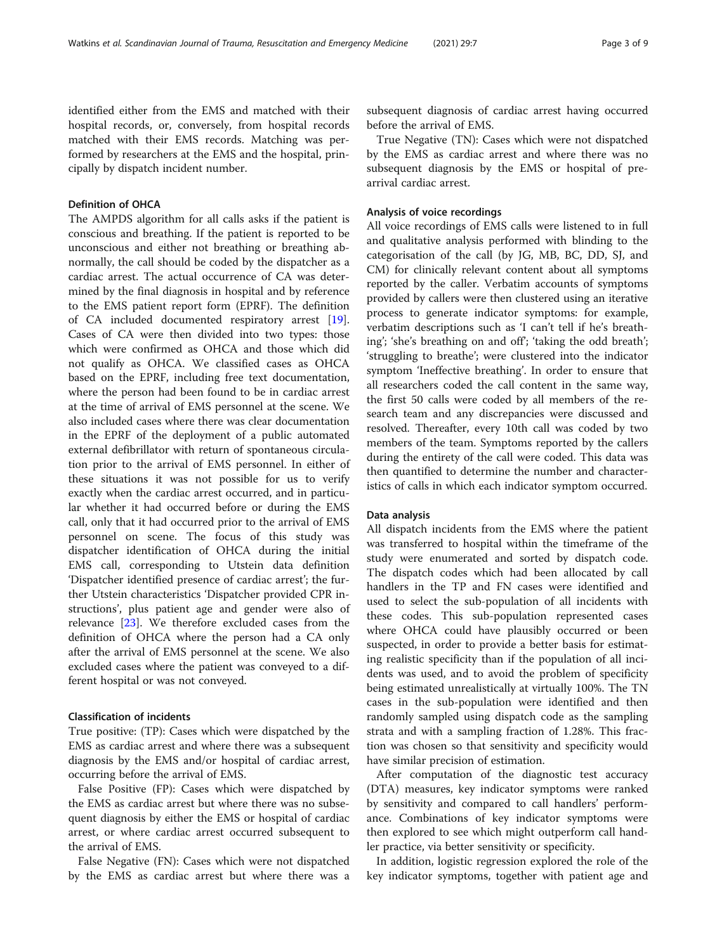identified either from the EMS and matched with their hospital records, or, conversely, from hospital records matched with their EMS records. Matching was performed by researchers at the EMS and the hospital, principally by dispatch incident number.

#### Definition of OHCA

The AMPDS algorithm for all calls asks if the patient is conscious and breathing. If the patient is reported to be unconscious and either not breathing or breathing abnormally, the call should be coded by the dispatcher as a cardiac arrest. The actual occurrence of CA was determined by the final diagnosis in hospital and by reference to the EMS patient report form (EPRF). The definition of CA included documented respiratory arrest [\[19](#page-7-0)]. Cases of CA were then divided into two types: those which were confirmed as OHCA and those which did not qualify as OHCA. We classified cases as OHCA based on the EPRF, including free text documentation, where the person had been found to be in cardiac arrest at the time of arrival of EMS personnel at the scene. We also included cases where there was clear documentation in the EPRF of the deployment of a public automated external defibrillator with return of spontaneous circulation prior to the arrival of EMS personnel. In either of these situations it was not possible for us to verify exactly when the cardiac arrest occurred, and in particular whether it had occurred before or during the EMS call, only that it had occurred prior to the arrival of EMS personnel on scene. The focus of this study was dispatcher identification of OHCA during the initial EMS call, corresponding to Utstein data definition 'Dispatcher identified presence of cardiac arrest'; the further Utstein characteristics 'Dispatcher provided CPR instructions', plus patient age and gender were also of relevance [\[23\]](#page-7-0). We therefore excluded cases from the definition of OHCA where the person had a CA only after the arrival of EMS personnel at the scene. We also excluded cases where the patient was conveyed to a different hospital or was not conveyed.

#### Classification of incidents

True positive: (TP): Cases which were dispatched by the EMS as cardiac arrest and where there was a subsequent diagnosis by the EMS and/or hospital of cardiac arrest, occurring before the arrival of EMS.

False Positive (FP): Cases which were dispatched by the EMS as cardiac arrest but where there was no subsequent diagnosis by either the EMS or hospital of cardiac arrest, or where cardiac arrest occurred subsequent to the arrival of EMS.

False Negative (FN): Cases which were not dispatched by the EMS as cardiac arrest but where there was a subsequent diagnosis of cardiac arrest having occurred before the arrival of EMS.

True Negative (TN): Cases which were not dispatched by the EMS as cardiac arrest and where there was no subsequent diagnosis by the EMS or hospital of prearrival cardiac arrest.

#### Analysis of voice recordings

All voice recordings of EMS calls were listened to in full and qualitative analysis performed with blinding to the categorisation of the call (by JG, MB, BC, DD, SJ, and CM) for clinically relevant content about all symptoms reported by the caller. Verbatim accounts of symptoms provided by callers were then clustered using an iterative process to generate indicator symptoms: for example, verbatim descriptions such as 'I can't tell if he's breathing'; 'she's breathing on and off'; 'taking the odd breath'; 'struggling to breathe'; were clustered into the indicator symptom 'Ineffective breathing'. In order to ensure that all researchers coded the call content in the same way, the first 50 calls were coded by all members of the research team and any discrepancies were discussed and resolved. Thereafter, every 10th call was coded by two members of the team. Symptoms reported by the callers during the entirety of the call were coded. This data was then quantified to determine the number and characteristics of calls in which each indicator symptom occurred.

#### Data analysis

All dispatch incidents from the EMS where the patient was transferred to hospital within the timeframe of the study were enumerated and sorted by dispatch code. The dispatch codes which had been allocated by call handlers in the TP and FN cases were identified and used to select the sub-population of all incidents with these codes. This sub-population represented cases where OHCA could have plausibly occurred or been suspected, in order to provide a better basis for estimating realistic specificity than if the population of all incidents was used, and to avoid the problem of specificity being estimated unrealistically at virtually 100%. The TN cases in the sub-population were identified and then randomly sampled using dispatch code as the sampling strata and with a sampling fraction of 1.28%. This fraction was chosen so that sensitivity and specificity would have similar precision of estimation.

After computation of the diagnostic test accuracy (DTA) measures, key indicator symptoms were ranked by sensitivity and compared to call handlers' performance. Combinations of key indicator symptoms were then explored to see which might outperform call handler practice, via better sensitivity or specificity.

In addition, logistic regression explored the role of the key indicator symptoms, together with patient age and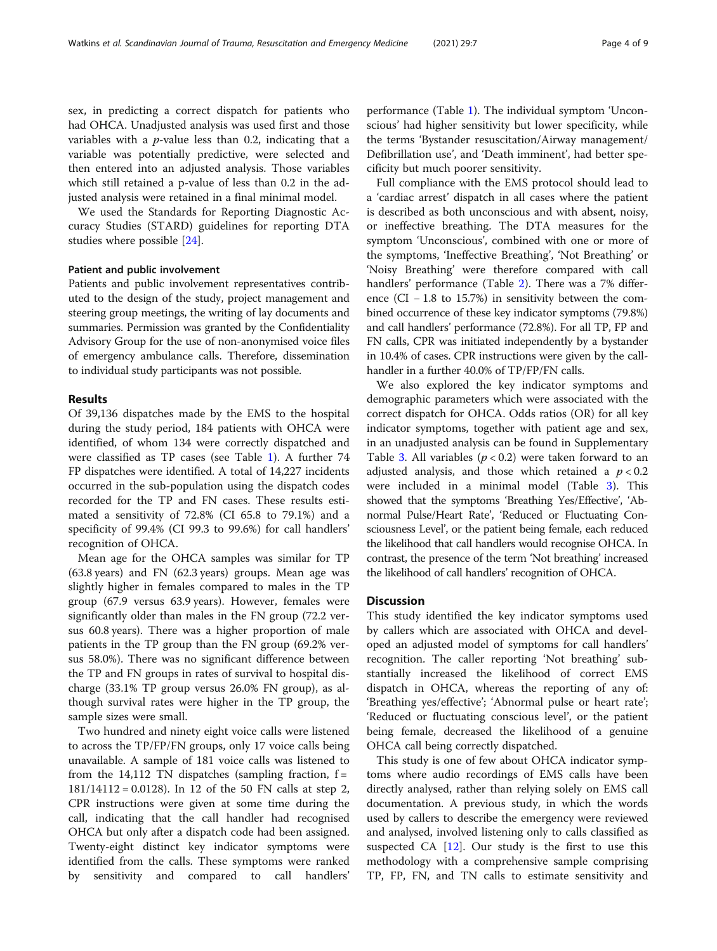sex, in predicting a correct dispatch for patients who had OHCA. Unadjusted analysis was used first and those variables with a  $p$ -value less than 0.2, indicating that a variable was potentially predictive, were selected and then entered into an adjusted analysis. Those variables which still retained a p-value of less than 0.2 in the adjusted analysis were retained in a final minimal model.

We used the Standards for Reporting Diagnostic Accuracy Studies (STARD) guidelines for reporting DTA studies where possible [\[24\]](#page-7-0).

#### Patient and public involvement

Patients and public involvement representatives contributed to the design of the study, project management and steering group meetings, the writing of lay documents and summaries. Permission was granted by the Confidentiality Advisory Group for the use of non-anonymised voice files of emergency ambulance calls. Therefore, dissemination to individual study participants was not possible.

#### Results

Of 39,136 dispatches made by the EMS to the hospital during the study period, 184 patients with OHCA were identified, of whom 134 were correctly dispatched and were classified as TP cases (see Table [1](#page-4-0)). A further 74 FP dispatches were identified. A total of 14,227 incidents occurred in the sub-population using the dispatch codes recorded for the TP and FN cases. These results estimated a sensitivity of 72.8% (CI 65.8 to 79.1%) and a specificity of 99.4% (CI 99.3 to 99.6%) for call handlers' recognition of OHCA.

Mean age for the OHCA samples was similar for TP (63.8 years) and FN (62.3 years) groups. Mean age was slightly higher in females compared to males in the TP group (67.9 versus 63.9 years). However, females were significantly older than males in the FN group (72.2 versus 60.8 years). There was a higher proportion of male patients in the TP group than the FN group (69.2% versus 58.0%). There was no significant difference between the TP and FN groups in rates of survival to hospital discharge (33.1% TP group versus 26.0% FN group), as although survival rates were higher in the TP group, the sample sizes were small.

Two hundred and ninety eight voice calls were listened to across the TP/FP/FN groups, only 17 voice calls being unavailable. A sample of 181 voice calls was listened to from the 14,112 TN dispatches (sampling fraction,  $f =$ 181/14112 = 0.0128). In 12 of the 50 FN calls at step 2, CPR instructions were given at some time during the call, indicating that the call handler had recognised OHCA but only after a dispatch code had been assigned. Twenty-eight distinct key indicator symptoms were identified from the calls. These symptoms were ranked by sensitivity and compared to call handlers' performance (Table [1\)](#page-4-0). The individual symptom 'Unconscious' had higher sensitivity but lower specificity, while the terms 'Bystander resuscitation/Airway management/ Defibrillation use', and 'Death imminent', had better specificity but much poorer sensitivity.

Full compliance with the EMS protocol should lead to a 'cardiac arrest' dispatch in all cases where the patient is described as both unconscious and with absent, noisy, or ineffective breathing. The DTA measures for the symptom 'Unconscious', combined with one or more of the symptoms, 'Ineffective Breathing', 'Not Breathing' or 'Noisy Breathing' were therefore compared with call handlers' performance (Table [2\)](#page-4-0). There was a 7% difference (CI − 1.8 to 15.7%) in sensitivity between the combined occurrence of these key indicator symptoms (79.8%) and call handlers' performance (72.8%). For all TP, FP and FN calls, CPR was initiated independently by a bystander in 10.4% of cases. CPR instructions were given by the callhandler in a further 40.0% of TP/FP/FN calls.

We also explored the key indicator symptoms and demographic parameters which were associated with the correct dispatch for OHCA. Odds ratios (OR) for all key indicator symptoms, together with patient age and sex, in an unadjusted analysis can be found in Supplementary Table [3](#page-6-0). All variables ( $p < 0.2$ ) were taken forward to an adjusted analysis, and those which retained a  $p < 0.2$ were included in a minimal model (Table [3\)](#page-5-0). This showed that the symptoms 'Breathing Yes/Effective', 'Abnormal Pulse/Heart Rate', 'Reduced or Fluctuating Consciousness Level', or the patient being female, each reduced the likelihood that call handlers would recognise OHCA. In contrast, the presence of the term 'Not breathing' increased the likelihood of call handlers' recognition of OHCA.

#### **Discussion**

This study identified the key indicator symptoms used by callers which are associated with OHCA and developed an adjusted model of symptoms for call handlers' recognition. The caller reporting 'Not breathing' substantially increased the likelihood of correct EMS dispatch in OHCA, whereas the reporting of any of: 'Breathing yes/effective'; 'Abnormal pulse or heart rate'; 'Reduced or fluctuating conscious level', or the patient being female, decreased the likelihood of a genuine OHCA call being correctly dispatched.

This study is one of few about OHCA indicator symptoms where audio recordings of EMS calls have been directly analysed, rather than relying solely on EMS call documentation. A previous study, in which the words used by callers to describe the emergency were reviewed and analysed, involved listening only to calls classified as suspected CA  $[12]$  $[12]$  $[12]$ . Our study is the first to use this methodology with a comprehensive sample comprising TP, FP, FN, and TN calls to estimate sensitivity and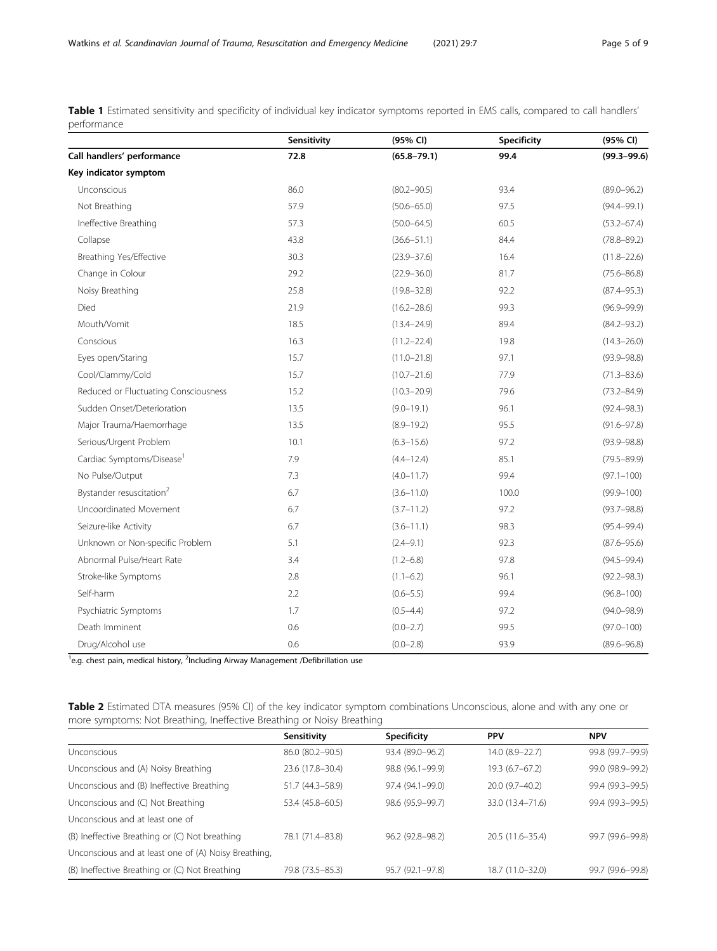<span id="page-4-0"></span>Table 1 Estimated sensitivity and specificity of individual key indicator symptoms reported in EMS calls, compared to call handlers' performance

|                                       | Sensitivity | (95% CI)        | Specificity | (95% CI)        |
|---------------------------------------|-------------|-----------------|-------------|-----------------|
| Call handlers' performance            | 72.8        | $(65.8 - 79.1)$ | 99.4        | $(99.3 - 99.6)$ |
| Key indicator symptom                 |             |                 |             |                 |
| Unconscious                           | 86.0        | $(80.2 - 90.5)$ | 93.4        | $(89.0 - 96.2)$ |
| Not Breathing                         | 57.9        | $(50.6 - 65.0)$ | 97.5        | $(94.4 - 99.1)$ |
| Ineffective Breathing                 | 57.3        | $(50.0 - 64.5)$ | 60.5        | $(53.2 - 67.4)$ |
| Collapse                              | 43.8        | $(36.6 - 51.1)$ | 84.4        | $(78.8 - 89.2)$ |
| Breathing Yes/Effective               | 30.3        | $(23.9 - 37.6)$ | 16.4        | $(11.8 - 22.6)$ |
| Change in Colour                      | 29.2        | $(22.9 - 36.0)$ | 81.7        | $(75.6 - 86.8)$ |
| Noisy Breathing                       | 25.8        | $(19.8 - 32.8)$ | 92.2        | $(87.4 - 95.3)$ |
| Died                                  | 21.9        | $(16.2 - 28.6)$ | 99.3        | $(96.9 - 99.9)$ |
| Mouth/Vomit                           | 18.5        | $(13.4 - 24.9)$ | 89.4        | $(84.2 - 93.2)$ |
| Conscious                             | 16.3        | $(11.2 - 22.4)$ | 19.8        | $(14.3 - 26.0)$ |
| Eyes open/Staring                     | 15.7        | $(11.0 - 21.8)$ | 97.1        | $(93.9 - 98.8)$ |
| Cool/Clammy/Cold                      | 15.7        | $(10.7 - 21.6)$ | 77.9        | $(71.3 - 83.6)$ |
| Reduced or Fluctuating Consciousness  | 15.2        | $(10.3 - 20.9)$ | 79.6        | $(73.2 - 84.9)$ |
| Sudden Onset/Deterioration            | 13.5        | $(9.0 - 19.1)$  | 96.1        | $(92.4 - 98.3)$ |
| Major Trauma/Haemorrhage              | 13.5        | $(8.9 - 19.2)$  | 95.5        | $(91.6 - 97.8)$ |
| Serious/Urgent Problem                | 10.1        | $(6.3 - 15.6)$  | 97.2        | $(93.9 - 98.8)$ |
| Cardiac Symptoms/Disease <sup>1</sup> | 7.9         | $(4.4 - 12.4)$  | 85.1        | $(79.5 - 89.9)$ |
| No Pulse/Output                       | 7.3         | $(4.0 - 11.7)$  | 99.4        | $(97.1 - 100)$  |
| Bystander resuscitation <sup>2</sup>  | 6.7         | $(3.6 - 11.0)$  | 100.0       | $(99.9 - 100)$  |
| Uncoordinated Movement                | 6.7         | $(3.7 - 11.2)$  | 97.2        | $(93.7 - 98.8)$ |
| Seizure-like Activity                 | 6.7         | $(3.6 - 11.1)$  | 98.3        | $(95.4 - 99.4)$ |
| Unknown or Non-specific Problem       | 5.1         | $(2.4 - 9.1)$   | 92.3        | $(87.6 - 95.6)$ |
| Abnormal Pulse/Heart Rate             | 3.4         | $(1.2 - 6.8)$   | 97.8        | $(94.5 - 99.4)$ |
| Stroke-like Symptoms                  | 2.8         | $(1.1 - 6.2)$   | 96.1        | $(92.2 - 98.3)$ |
| Self-harm                             | 2.2         | $(0.6 - 5.5)$   | 99.4        | $(96.8 - 100)$  |
| Psychiatric Symptoms                  | 1.7         | $(0.5 - 4.4)$   | 97.2        | $(94.0 - 98.9)$ |
| Death Imminent                        | 0.6         | $(0.0 - 2.7)$   | 99.5        | $(97.0 - 100)$  |
| Drug/Alcohol use                      | 0.6         | $(0.0 - 2.8)$   | 93.9        | $(89.6 - 96.8)$ |

<sup>1</sup>e.g. chest pain, medical history, <sup>2</sup>Including Airway Management /Defibrillation use

Table 2 Estimated DTA measures (95% CI) of the key indicator symptom combinations Unconscious, alone and with any one or more symptoms: Not Breathing, Ineffective Breathing or Noisy Breathing

|                                                      | Sensitivity      | <b>Specificity</b> | <b>PPV</b>       | <b>NPV</b>       |
|------------------------------------------------------|------------------|--------------------|------------------|------------------|
| Unconscious                                          | 86.0 (80.2-90.5) | 93.4 (89.0-96.2)   | 14.0 (8.9-22.7)  | 99.8 (99.7-99.9) |
| Unconscious and (A) Noisy Breathing                  | 23.6 (17.8-30.4) | 98.8 (96.1-99.9)   | $19.3(6.7-67.2)$ | 99.0 (98.9-99.2) |
| Unconscious and (B) Ineffective Breathing            | 51.7 (44.3–58.9) | 97.4 (94.1-99.0)   | 20.0 (9.7-40.2)  | 99.4 (99.3-99.5) |
| Unconscious and (C) Not Breathing                    | 53.4 (45.8-60.5) | 98.6 (95.9-99.7)   | 33.0 (13.4-71.6) | 99.4 (99.3-99.5) |
| Unconscious and at least one of                      |                  |                    |                  |                  |
| (B) Ineffective Breathing or (C) Not breathing       | 78.1 (71.4-83.8) | 96.2 (92.8-98.2)   | 20.5 (11.6-35.4) | 99.7 (99.6-99.8) |
| Unconscious and at least one of (A) Noisy Breathing, |                  |                    |                  |                  |
| (B) Ineffective Breathing or (C) Not Breathing       | 79.8 (73.5-85.3) | 95.7 (92.1-97.8)   | 18.7 (11.0-32.0) | 99.7 (99.6-99.8) |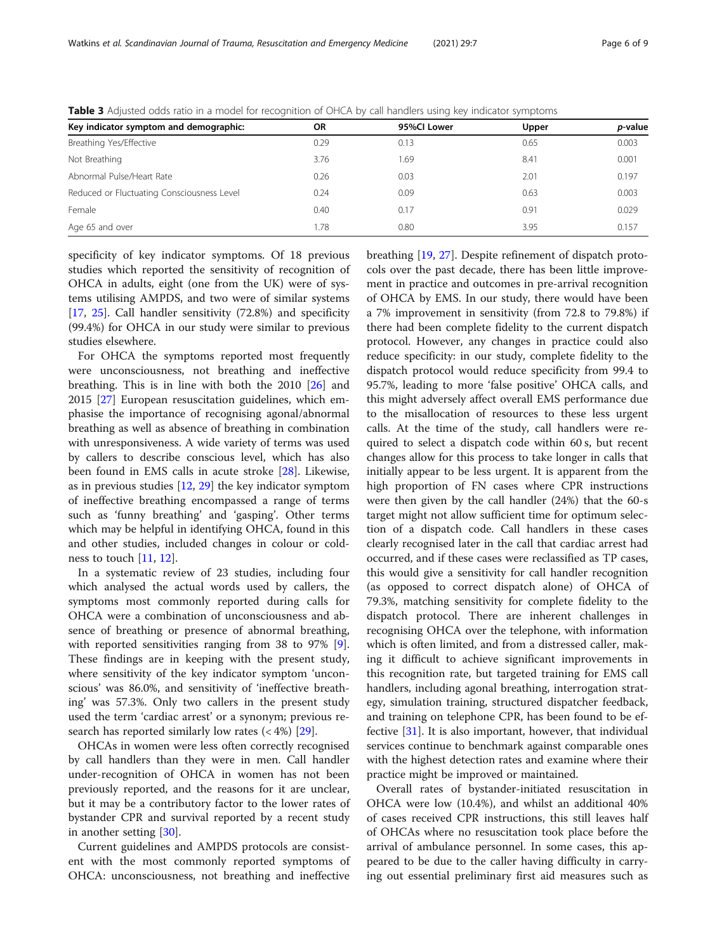| Key indicator symptom and demographic:     | <b>OR</b> | 95%Cl Lower | Upper | <i>p</i> -value |
|--------------------------------------------|-----------|-------------|-------|-----------------|
| Breathing Yes/Effective                    | 0.29      | 0.13        | 0.65  | 0.003           |
| Not Breathing                              | 3.76      | .69         | 8.41  | 0.001           |
| Abnormal Pulse/Heart Rate                  | 0.26      | 0.03        | 2.01  | 0.197           |
| Reduced or Fluctuating Consciousness Level | 0.24      | 0.09        | 0.63  | 0.003           |
| Female                                     | 0.40      | 0.17        | 0.91  | 0.029           |
| Age 65 and over                            | 1.78      | 0.80        | 3.95  | 0.157           |

<span id="page-5-0"></span>Table 3 Adjusted odds ratio in a model for recognition of OHCA by call handlers using key indicator symptoms

specificity of key indicator symptoms. Of 18 previous studies which reported the sensitivity of recognition of OHCA in adults, eight (one from the UK) were of systems utilising AMPDS, and two were of similar systems [[17,](#page-7-0) [25](#page-7-0)]. Call handler sensitivity (72.8%) and specificity (99.4%) for OHCA in our study were similar to previous studies elsewhere.

For OHCA the symptoms reported most frequently were unconsciousness, not breathing and ineffective breathing. This is in line with both the 2010 [[26\]](#page-7-0) and 2015 [\[27](#page-7-0)] European resuscitation guidelines, which emphasise the importance of recognising agonal/abnormal breathing as well as absence of breathing in combination with unresponsiveness. A wide variety of terms was used by callers to describe conscious level, which has also been found in EMS calls in acute stroke [\[28](#page-7-0)]. Likewise, as in previous studies [\[12](#page-7-0), [29\]](#page-7-0) the key indicator symptom of ineffective breathing encompassed a range of terms such as 'funny breathing' and 'gasping'. Other terms which may be helpful in identifying OHCA, found in this and other studies, included changes in colour or coldness to touch [[11,](#page-7-0) [12](#page-7-0)].

In a systematic review of 23 studies, including four which analysed the actual words used by callers, the symptoms most commonly reported during calls for OHCA were a combination of unconsciousness and absence of breathing or presence of abnormal breathing, with reported sensitivities ranging from 38 to 97% [\[9](#page-7-0)]. These findings are in keeping with the present study, where sensitivity of the key indicator symptom 'unconscious' was 86.0%, and sensitivity of 'ineffective breathing' was 57.3%. Only two callers in the present study used the term 'cardiac arrest' or a synonym; previous research has reported similarly low rates  $(4\%)$  [[29\]](#page-7-0).

OHCAs in women were less often correctly recognised by call handlers than they were in men. Call handler under-recognition of OHCA in women has not been previously reported, and the reasons for it are unclear, but it may be a contributory factor to the lower rates of bystander CPR and survival reported by a recent study in another setting [\[30](#page-7-0)].

Current guidelines and AMPDS protocols are consistent with the most commonly reported symptoms of OHCA: unconsciousness, not breathing and ineffective

breathing [[19,](#page-7-0) [27\]](#page-7-0). Despite refinement of dispatch protocols over the past decade, there has been little improvement in practice and outcomes in pre-arrival recognition of OHCA by EMS. In our study, there would have been a 7% improvement in sensitivity (from 72.8 to 79.8%) if there had been complete fidelity to the current dispatch protocol. However, any changes in practice could also reduce specificity: in our study, complete fidelity to the dispatch protocol would reduce specificity from 99.4 to 95.7%, leading to more 'false positive' OHCA calls, and this might adversely affect overall EMS performance due to the misallocation of resources to these less urgent calls. At the time of the study, call handlers were required to select a dispatch code within 60 s, but recent changes allow for this process to take longer in calls that initially appear to be less urgent. It is apparent from the high proportion of FN cases where CPR instructions were then given by the call handler (24%) that the 60-s target might not allow sufficient time for optimum selection of a dispatch code. Call handlers in these cases clearly recognised later in the call that cardiac arrest had occurred, and if these cases were reclassified as TP cases, this would give a sensitivity for call handler recognition (as opposed to correct dispatch alone) of OHCA of 79.3%, matching sensitivity for complete fidelity to the dispatch protocol. There are inherent challenges in recognising OHCA over the telephone, with information which is often limited, and from a distressed caller, making it difficult to achieve significant improvements in this recognition rate, but targeted training for EMS call handlers, including agonal breathing, interrogation strategy, simulation training, structured dispatcher feedback, and training on telephone CPR, has been found to be effective [\[31](#page-7-0)]. It is also important, however, that individual services continue to benchmark against comparable ones with the highest detection rates and examine where their practice might be improved or maintained.

Overall rates of bystander-initiated resuscitation in OHCA were low (10.4%), and whilst an additional 40% of cases received CPR instructions, this still leaves half of OHCAs where no resuscitation took place before the arrival of ambulance personnel. In some cases, this appeared to be due to the caller having difficulty in carrying out essential preliminary first aid measures such as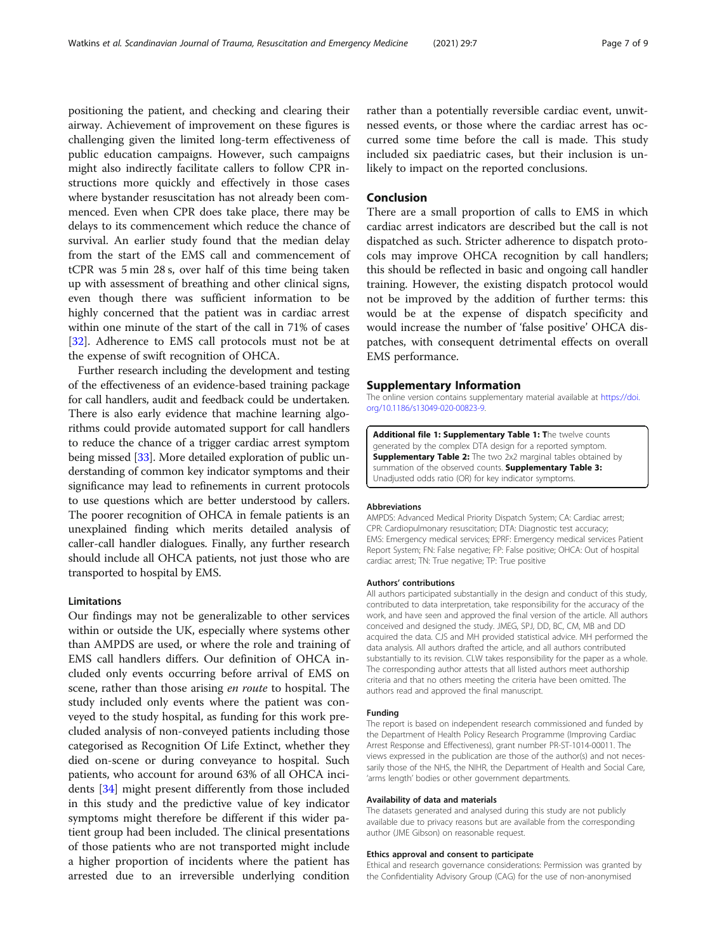<span id="page-6-0"></span>positioning the patient, and checking and clearing their airway. Achievement of improvement on these figures is challenging given the limited long-term effectiveness of public education campaigns. However, such campaigns might also indirectly facilitate callers to follow CPR instructions more quickly and effectively in those cases where bystander resuscitation has not already been commenced. Even when CPR does take place, there may be delays to its commencement which reduce the chance of survival. An earlier study found that the median delay from the start of the EMS call and commencement of tCPR was 5 min 28 s, over half of this time being taken up with assessment of breathing and other clinical signs, even though there was sufficient information to be highly concerned that the patient was in cardiac arrest within one minute of the start of the call in 71% of cases [[32\]](#page-7-0). Adherence to EMS call protocols must not be at the expense of swift recognition of OHCA.

Further research including the development and testing of the effectiveness of an evidence-based training package for call handlers, audit and feedback could be undertaken. There is also early evidence that machine learning algorithms could provide automated support for call handlers to reduce the chance of a trigger cardiac arrest symptom being missed [\[33\]](#page-7-0). More detailed exploration of public understanding of common key indicator symptoms and their significance may lead to refinements in current protocols to use questions which are better understood by callers. The poorer recognition of OHCA in female patients is an unexplained finding which merits detailed analysis of caller-call handler dialogues. Finally, any further research should include all OHCA patients, not just those who are transported to hospital by EMS.

#### Limitations

Our findings may not be generalizable to other services within or outside the UK, especially where systems other than AMPDS are used, or where the role and training of EMS call handlers differs. Our definition of OHCA included only events occurring before arrival of EMS on scene, rather than those arising en route to hospital. The study included only events where the patient was conveyed to the study hospital, as funding for this work precluded analysis of non-conveyed patients including those categorised as Recognition Of Life Extinct, whether they died on-scene or during conveyance to hospital. Such patients, who account for around 63% of all OHCA incidents [\[34](#page-8-0)] might present differently from those included in this study and the predictive value of key indicator symptoms might therefore be different if this wider patient group had been included. The clinical presentations of those patients who are not transported might include a higher proportion of incidents where the patient has arrested due to an irreversible underlying condition

rather than a potentially reversible cardiac event, unwitnessed events, or those where the cardiac arrest has occurred some time before the call is made. This study included six paediatric cases, but their inclusion is unlikely to impact on the reported conclusions.

#### Conclusion

There are a small proportion of calls to EMS in which cardiac arrest indicators are described but the call is not dispatched as such. Stricter adherence to dispatch protocols may improve OHCA recognition by call handlers; this should be reflected in basic and ongoing call handler training. However, the existing dispatch protocol would not be improved by the addition of further terms: this would be at the expense of dispatch specificity and would increase the number of 'false positive' OHCA dispatches, with consequent detrimental effects on overall EMS performance.

#### Supplementary Information

The online version contains supplementary material available at [https://doi.](https://doi.org/10.1186/s13049-020-00823-9) [org/10.1186/s13049-020-00823-9.](https://doi.org/10.1186/s13049-020-00823-9)

Additional file 1: Supplementary Table 1: The twelve counts generated by the complex DTA design for a reported symptom. **Supplementary Table 2:** The two 2x2 marginal tables obtained by summation of the observed counts. Supplementary Table 3: Unadjusted odds ratio (OR) for key indicator symptoms.

#### Abbreviations

AMPDS: Advanced Medical Priority Dispatch System; CA: Cardiac arrest; CPR: Cardiopulmonary resuscitation; DTA: Diagnostic test accuracy; EMS: Emergency medical services; EPRF: Emergency medical services Patient Report System; FN: False negative; FP: False positive; OHCA: Out of hospital cardiac arrest; TN: True negative; TP: True positive

#### Authors' contributions

All authors participated substantially in the design and conduct of this study, contributed to data interpretation, take responsibility for the accuracy of the work, and have seen and approved the final version of the article. All authors conceived and designed the study. JMEG, SPJ, DD, BC, CM, MB and DD acquired the data. CJS and MH provided statistical advice. MH performed the data analysis. All authors drafted the article, and all authors contributed substantially to its revision. CLW takes responsibility for the paper as a whole. The corresponding author attests that all listed authors meet authorship criteria and that no others meeting the criteria have been omitted. The authors read and approved the final manuscript.

#### Funding

The report is based on independent research commissioned and funded by the Department of Health Policy Research Programme (Improving Cardiac Arrest Response and Effectiveness), grant number PR-ST-1014-00011. The views expressed in the publication are those of the author(s) and not necessarily those of the NHS, the NIHR, the Department of Health and Social Care, 'arms length' bodies or other government departments.

#### Availability of data and materials

The datasets generated and analysed during this study are not publicly available due to privacy reasons but are available from the corresponding author (JME Gibson) on reasonable request.

#### Ethics approval and consent to participate

Ethical and research governance considerations: Permission was granted by the Confidentiality Advisory Group (CAG) for the use of non-anonymised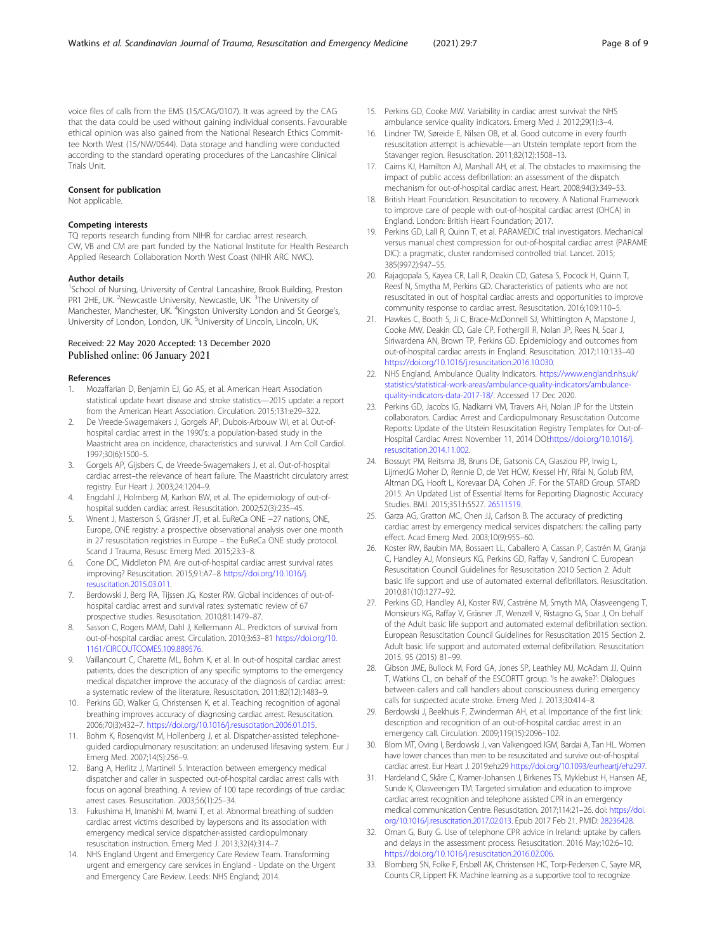<span id="page-7-0"></span>that the data could be used without gaining individual consents. Favourable ethical opinion was also gained from the National Research Ethics Committee North West (15/NW/0544). Data storage and handling were conducted according to the standard operating procedures of the Lancashire Clinical Trials Unit.

#### Consent for publication

Not applicable.

#### Competing interests

TQ reports research funding from NIHR for cardiac arrest research. CW, VB and CM are part funded by the National Institute for Health Research Applied Research Collaboration North West Coast (NIHR ARC NWC).

#### Author details

<sup>1</sup>School of Nursing, University of Central Lancashire, Brook Building, Preston PR1 2HE, UK. <sup>2</sup>Newcastle University, Newcastle, UK. <sup>3</sup>The University of Manchester, Manchester, UK. <sup>4</sup>Kingston University London and St George's, University of London, London, UK. <sup>5</sup>University of Lincoln, Lincoln, UK.

#### Received: 22 May 2020 Accepted: 13 December 2020 Published online: 06 January 2021

#### References

- 1. Mozaffarian D, Benjamin EJ, Go AS, et al. American Heart Association statistical update heart disease and stroke statistics—2015 update: a report from the American Heart Association. Circulation. 2015;131:e29–322.
- 2. De Vreede-Swagemakers J, Gorgels AP, Dubois-Arbouw WI, et al. Out-ofhospital cardiac arrest in the 1990's: a population-based study in the Maastricht area on incidence, characteristics and survival. J Am Coll Cardiol. 1997;30(6):1500–5.
- 3. Gorgels AP, Gijsbers C, de Vreede-Swagemakers J, et al. Out-of-hospital cardiac arrest–the relevance of heart failure. The Maastricht circulatory arrest registry. Eur Heart J. 2003;24:1204–9.
- 4. Engdahl J, Holmberg M, Karlson BW, et al. The epidemiology of out-ofhospital sudden cardiac arrest. Resuscitation. 2002;52(3):235–45.
- 5. Wnent J, Masterson S, Gräsner JT, et al. EuReCa ONE −27 nations, ONE, Europe, ONE registry: a prospective observational analysis over one month in 27 resuscitation registries in Europe – the EuReCa ONE study protocol. Scand J Trauma, Resusc Emerg Med. 2015;23:3–8.
- 6. Cone DC, Middleton PM. Are out-of-hospital cardiac arrest survival rates improving? Resuscitation. 2015;91:A7–8 [https://doi.org/10.1016/j.](https://doi.org/10.1016/j.resuscitation.2015.03.011) [resuscitation.2015.03.011.](https://doi.org/10.1016/j.resuscitation.2015.03.011)
- 7. Berdowski J, Berg RA, Tijssen JG, Koster RW. Global incidences of out-ofhospital cardiac arrest and survival rates: systematic review of 67 prospective studies. Resuscitation. 2010;81:1479–87.
- Sasson C, Rogers MAM, Dahl J, Kellermann AL. Predictors of survival from out-of-hospital cardiac arrest. Circulation. 2010;3:63–81 [https://doi.org/10.](https://doi.org/10.1161/CIRCOUTCOMES.109.889576) [1161/CIRCOUTCOMES.109.889576](https://doi.org/10.1161/CIRCOUTCOMES.109.889576).
- 9. Vaillancourt C, Charette ML, Bohm K, et al. In out-of hospital cardiac arrest patients, does the description of any specific symptoms to the emergency medical dispatcher improve the accuracy of the diagnosis of cardiac arrest: a systematic review of the literature. Resuscitation. 2011;82(12):1483–9.
- 10. Perkins GD, Walker G, Christensen K, et al. Teaching recognition of agonal breathing improves accuracy of diagnosing cardiac arrest. Resuscitation. 2006;70(3):432–7. [https://doi.org/10.1016/j.resuscitation.2006.01.015.](https://doi.org/10.1016/j.resuscitation.2006.01.015)
- 11. Bohm K, Rosenqvist M, Hollenberg J, et al. Dispatcher-assisted telephoneguided cardiopulmonary resuscitation: an underused lifesaving system. Eur J Emerg Med. 2007;14(5):256–9.
- 12. Bang A, Herlitz J, Martinell S. Interaction between emergency medical dispatcher and caller in suspected out-of-hospital cardiac arrest calls with focus on agonal breathing. A review of 100 tape recordings of true cardiac arrest cases. Resuscitation. 2003;56(1):25–34.
- 13. Fukushima H, Imanishi M, Iwami T, et al. Abnormal breathing of sudden cardiac arrest victims described by laypersons and its association with emergency medical service dispatcher-assisted cardiopulmonary resuscitation instruction. Emerg Med J. 2013;32(4):314–7.
- 14. NHS England Urgent and Emergency Care Review Team. Transforming urgent and emergency care services in England - Update on the Urgent and Emergency Care Review. Leeds: NHS England; 2014.
- 15. Perkins GD, Cooke MW. Variability in cardiac arrest survival: the NHS ambulance service quality indicators. Emerg Med J. 2012;29(1):3–4.
- 16. Lindner TW, Søreide E, Nilsen OB, et al. Good outcome in every fourth resuscitation attempt is achievable—an Utstein template report from the Stavanger region. Resuscitation. 2011;82(12):1508–13.
- 17. Cairns KJ, Hamilton AJ, Marshall AH, et al. The obstacles to maximising the impact of public access defibrillation: an assessment of the dispatch mechanism for out-of-hospital cardiac arrest. Heart. 2008;94(3):349–53.
- 18. British Heart Foundation. Resuscitation to recovery. A National Framework to improve care of people with out-of-hospital cardiac arrest (OHCA) in England. London: British Heart Foundation; 2017.
- 19. Perkins GD, Lall R, Quinn T, et al. PARAMEDIC trial investigators. Mechanical versus manual chest compression for out-of-hospital cardiac arrest (PARAME DIC): a pragmatic, cluster randomised controlled trial. Lancet. 2015; 385(9972):947–55.
- 20. Rajagopala S, Kayea CR, Lall R, Deakin CD, Gatesa S, Pocock H, Quinn T, Reesf N, Smytha M, Perkins GD. Characteristics of patients who are not resuscitated in out of hospital cardiac arrests and opportunities to improve community response to cardiac arrest. Resuscitation. 2016;109:110–5.
- 21. Hawkes C, Booth S, Ji C, Brace-McDonnell SJ, Whittington A, Mapstone J, Cooke MW, Deakin CD, Gale CP, Fothergill R, Nolan JP, Rees N, Soar J, Siriwardena AN, Brown TP, Perkins GD. Epidemiology and outcomes from out-of-hospital cardiac arrests in England. Resuscitation. 2017;110:133–40 <https://doi.org/10.1016/j.resuscitation.2016.10.030>.
- 22. NHS England. Ambulance Quality Indicators. [https://www.england.nhs.uk/](https://www.england.nhs.uk/statistics/statistical-work-areas/ambulance-quality-indicators/ambulance-quality-indicators-data-2017-18/) [statistics/statistical-work-areas/ambulance-quality-indicators/ambulance](https://www.england.nhs.uk/statistics/statistical-work-areas/ambulance-quality-indicators/ambulance-quality-indicators-data-2017-18/)[quality-indicators-data-2017-18/.](https://www.england.nhs.uk/statistics/statistical-work-areas/ambulance-quality-indicators/ambulance-quality-indicators-data-2017-18/) Accessed 17 Dec 2020.
- 23. Perkins GD, Jacobs IG, Nadkarni VM, Travers AH, Nolan JP for the Utstein collaborators. Cardiac Arrest and Cardiopulmonary Resuscitation Outcome Reports: Update of the Utstein Resuscitation Registry Templates for Out-of-Hospital Cardiac Arrest November 11, 2014 DOI:[https://doi.org/10.1016/j.](https://doi.org/10.1016/j.resuscitation.2014.11.002) [resuscitation.2014.11.002.](https://doi.org/10.1016/j.resuscitation.2014.11.002)
- 24. Bossuyt PM, Reitsma JB, Bruns DE, Gatsonis CA, Glasziou PP, Irwig L, LijmerJG Moher D, Rennie D, de Vet HCW, Kressel HY, Rifai N, Golub RM, Altman DG, Hooft L, Korevaar DA, Cohen JF. For the STARD Group. STARD 2015: An Updated List of Essential Items for Reporting Diagnostic Accuracy Studies. BMJ. 2015;351:h5527. [26511519.](https://www.ncbi.nlm.nih.gov/pubmed/26511519)
- 25. Garza AG, Gratton MC, Chen JJ, Carlson B. The accuracy of predicting cardiac arrest by emergency medical services dispatchers: the calling party effect. Acad Emerg Med. 2003;10(9):955–60.
- 26. Koster RW, Baubin MA, Bossaert LL, Caballero A, Cassan P, Castrén M, Granja C, Handley AJ, Monsieurs KG, Perkins GD, Raffay V, Sandroni C. European Resuscitation Council Guidelines for Resuscitation 2010 Section 2. Adult basic life support and use of automated external defibrillators. Resuscitation. 2010;81(10):1277–92.
- 27. Perkins GD, Handley AJ, Koster RW, Castréne M, Smyth MA, Olasveengeng T, Monsieurs KG, Raffay V, Gräsner JT, Wenzell V, Ristagno G, Soar J, On behalf of the Adult basic life support and automated external defibrillation section. European Resuscitation Council Guidelines for Resuscitation 2015 Section 2. Adult basic life support and automated external defibrillation. Resuscitation 2015. 95 (2015) 81–99.
- 28. Gibson JME, Bullock M, Ford GA, Jones SP, Leathley MJ, McAdam JJ, Quinn T, Watkins CL, on behalf of the ESCORTT group. 'Is he awake?': Dialogues between callers and call handlers about consciousness during emergency calls for suspected acute stroke. Emerg Med J. 2013;30:414–8.
- 29. Berdowski J, Beekhuis F, Zwinderman AH, et al. Importance of the first link: description and recognition of an out-of-hospital cardiac arrest in an emergency call. Circulation. 2009;119(15):2096–102.
- 30. Blom MT, Oving I, Berdowski J, van Valkengoed IGM, Bardai A, Tan HL. Women have lower chances than men to be resuscitated and survive out-of-hospital cardiac arrest. Eur Heart J. 2019:ehz29 <https://doi.org/10.1093/eurheartj/ehz297>.
- 31. Hardeland C, Skåre C, Kramer-Johansen J, Birkenes TS, Myklebust H, Hansen AE, Sunde K, Olasveengen TM. Targeted simulation and education to improve cardiac arrest recognition and telephone assisted CPR in an emergency medical communication Centre. Resuscitation. 2017;114:21–26. doi: [https://doi.](https://doi.org/10.1016/j.resuscitation.2017.02.013) [org/10.1016/j.resuscitation.2017.02.013.](https://doi.org/10.1016/j.resuscitation.2017.02.013) Epub 2017 Feb 21. PMID: [28236428.](https://www.ncbi.nlm.nih.gov/pubmed/28236428)
- 32. Oman G, Bury G. Use of telephone CPR advice in Ireland: uptake by callers and delays in the assessment process. Resuscitation. 2016 May;102:6–10. <https://doi.org/10.1016/j.resuscitation.2016.02.006>.
- 33. Blomberg SN, Folke F, Ersbøll AK, Christensen HC, Torp-Pedersen C, Sayre MR, Counts CR, Lippert FK. Machine learning as a supportive tool to recognize